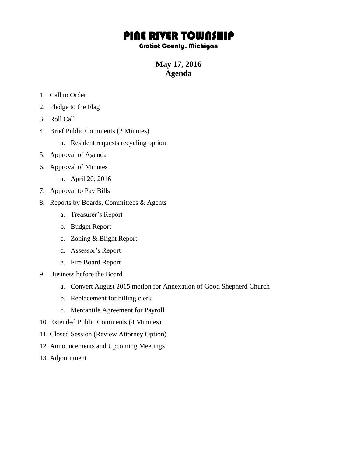## PINE RIVER TOWNSHIP

## Gratiot County, Michigan

**May 17, 2016 Agenda**

- 1. Call to Order
- 2. Pledge to the Flag
- 3. Roll Call
- 4. Brief Public Comments (2 Minutes)
	- a. Resident requests recycling option
- 5. Approval of Agenda
- 6. Approval of Minutes
	- a. April 20, 2016
- 7. Approval to Pay Bills
- 8. Reports by Boards, Committees & Agents
	- a. Treasurer's Report
	- b. Budget Report
	- c. Zoning & Blight Report
	- d. Assessor's Report
	- e. Fire Board Report
- 9. Business before the Board
	- a. Convert August 2015 motion for Annexation of Good Shepherd Church
	- b. Replacement for billing clerk
	- c. Mercantile Agreement for Payroll
- 10. Extended Public Comments (4 Minutes)
- 11. Closed Session (Review Attorney Option)
- 12. Announcements and Upcoming Meetings
- 13. Adjournment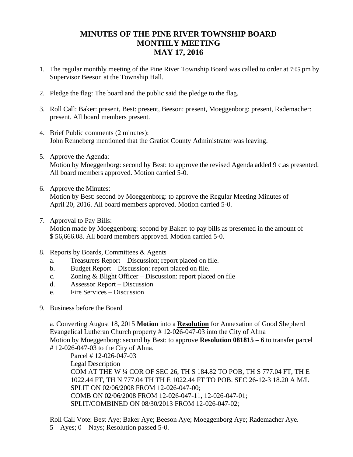## **MINUTES OF THE PINE RIVER TOWNSHIP BOARD MONTHLY MEETING MAY 17, 2016**

- 1. The regular monthly meeting of the Pine River Township Board was called to order at 7:05 pm by Supervisor Beeson at the Township Hall.
- 2. Pledge the flag: The board and the public said the pledge to the flag.
- 3. Roll Call: Baker: present, Best: present, Beeson: present, Moeggenborg: present, Rademacher: present. All board members present.
- 4. Brief Public comments (2 minutes): John Renneberg mentioned that the Gratiot County Administrator was leaving.
- 5. Approve the Agenda: Motion by Moeggenborg: second by Best: to approve the revised Agenda added 9 c.as presented. All board members approved. Motion carried 5-0.
- 6. Approve the Minutes: Motion by Best: second by Moeggenborg: to approve the Regular Meeting Minutes of April 20, 2016. All board members approved. Motion carried 5-0.
- 7. Approval to Pay Bills: Motion made by Moeggenborg: second by Baker: to pay bills as presented in the amount of

\$ 56,666.08. All board members approved. Motion carried 5-0.

- 8. Reports by Boards, Committees & Agents
	- a. Treasurers Report Discussion; report placed on file.
	- b. Budget Report Discussion: report placed on file.
	- c. Zoning & Blight Officer Discussion: report placed on file
	- d. Assessor Report Discussion
	- e. Fire Services Discussion
- 9. Business before the Board

a. Converting August 18, 2015 **Motion** into a **Resolution** for Annexation of Good Shepherd Evangelical Lutheran Church property # 12-026-047-03 into the City of Alma Motion by Moeggenborg: second by Best: to approve **Resolution 081815 – 6** to transfer parcel # 12-026-047-03 to the City of Alma.

Parcel # 12-026-047-03 Legal Description COM AT THE W ¼ COR OF SEC 26, TH S 184.82 TO POB, TH S 777.04 FT, TH E 1022.44 FT, TH N 777.04 TH TH E 1022.44 FT TO POB. SEC 26-12-3 18.20 A M/L SPLIT ON 02/06/2008 FROM 12-026-047-00; COMB ON 02/06/2008 FROM 12-026-047-11, 12-026-047-01; SPLIT/COMBINED ON 08/30/2013 FROM 12-026-047-02;

Roll Call Vote: Best Aye; Baker Aye; Beeson Aye; Moeggenborg Aye; Rademacher Aye.  $5 - Ayes$ ;  $0 - Nays$ ; Resolution passed 5-0.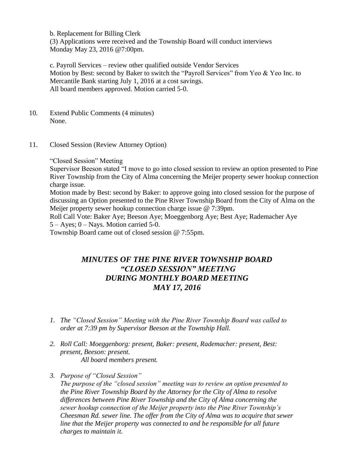b. Replacement for Billing Clerk

(3) Applications were received and the Township Board will conduct interviews Monday May 23, 2016 @7:00pm.

c. Payroll Services – review other qualified outside Vendor Services Motion by Best: second by Baker to switch the "Payroll Services" from Yeo & Yeo Inc. to Mercantile Bank starting July 1, 2016 at a cost savings. All board members approved. Motion carried 5-0.

- 10. Extend Public Comments (4 minutes) None.
- 11. Closed Session (Review Attorney Option)

"Closed Session" Meeting

Supervisor Beeson stated "I move to go into closed session to review an option presented to Pine River Township from the City of Alma concerning the Meijer property sewer hookup connection charge issue.

Motion made by Best: second by Baker: to approve going into closed session for the purpose of discussing an Option presented to the Pine River Township Board from the City of Alma on the Meijer property sewer hookup connection charge issue @ 7:39pm.

Roll Call Vote: Baker Aye; Beeson Aye; Moeggenborg Aye; Best Aye; Rademacher Aye  $5 - Ayes$ ;  $0 - Nays$ . Motion carried 5-0.

Township Board came out of closed session @ 7:55pm.

## *MINUTES OF THE PINE RIVER TOWNSHIP BOARD "CLOSED SESSION" MEETING DURING MONTHLY BOARD MEETING MAY 17, 2016*

- *1. The "Closed Session" Meeting with the Pine River Township Board was called to order at 7:39 pm by Supervisor Beeson at the Township Hall.*
- *2. Roll Call: Moeggenborg: present, Baker: present, Rademacher: present, Best: present, Beeson: present. All board members present.*
- *3. Purpose of "Closed Session"*

*The purpose of the "closed session" meeting was to review an option presented to the Pine River Township Board by the Attorney for the City of Alma to resolve differences between Pine River Township and the City of Alma concerning the sewer hookup connection of the Meijer property into the Pine River Township's Cheesman Rd. sewer line. The offer from the City of Alma was to acquire that sewer line that the Meijer property was connected to and be responsible for all future charges to maintain it.*